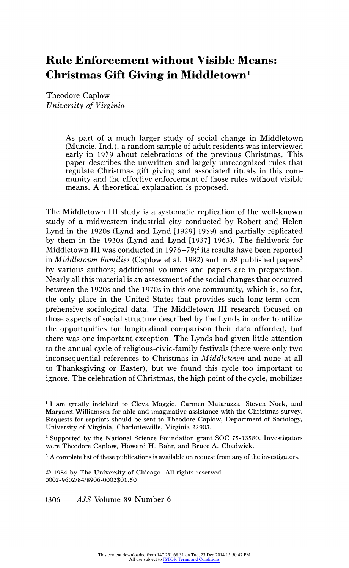# **Rule Enforcement without Visible Means: Christmas Gift Giving in Middletown'**

**Theodore Caplow University of Virginia** 

> **As part of a much larger study of social change in Middletown (Muncie, Ind.), a random sample of adult residents was interviewed early in 1979 about celebrations of the previous Christmas. This paper describes the unwritten and largely unrecognized rules that regulate Christmas gift giving and associated rituals in this community and the effective enforcement of those rules without visible means. A theoretical explanation is proposed.**

**The Middletown III study is a systematic replication of the well-known study of a midwestern industrial city conducted by Robert and Helen Lynd in the 1920s (Lynd and Lynd [1929] 1959) and partially replicated by them in the 1930s (Lynd and Lynd [1937] 1963). The fieldwork for Middletown III was conducted in 1976 -79;2 its results have been reported in Middletown Families (Caplow et al. 1982) and in 38 published papers3 by various authors; additional volumes and papers are in preparation. Nearly all this material is an assessment of the social changes that occurred between the 1920s and the 1970s in this one community, which is, so far, the only place in the United States that provides such long-term comprehensive sociological data. The Middletown III research focused on those aspects of social structure described by the Lynds in order to utilize the opportunities for longitudinal comparison their data afforded, but there was one important exception. The Lynds had given little attention to the annual cycle of religious-civic-family festivals (there were only two inconsequential references to Christmas in Middletown and none at all to Thanksgiving or Easter), but we found this cycle too important to ignore. The celebration of Christmas, the high point of the cycle, mobilizes** 

**<sup>1</sup>I am greatly indebted to Cleva Maggio, Carmen Matarazza, Steven Nock, and Margaret Williamson for able and imaginative assistance with the Christmas survey. Requests for reprints should be sent to Theodore Caplow, Department of Sociology, University of Virginia, Charlottesville, Virginia 22903.** 

**<sup>2</sup>Supported by the National Science Foundation grant SOC 75-13580. Investigators were Theodore Caplow, Howard H. Bahr, and Bruce A. Chadwick.** 

**3A complete list of these publications is available on request from any of the investigators.** 

**(C 1984 by The University of Chicago. All rights reserved. 0002-9602/84/8906-0002\$01 .50** 

**1306 AJS Volume 89 Number 6**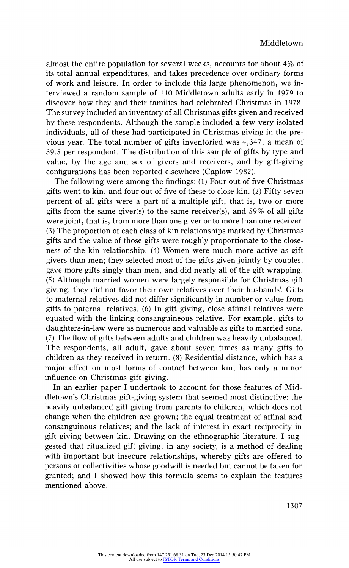**almost the entire population for several weeks, accounts for about 4% of its total annual expenditures, and takes precedence over ordinary forms of work and leisure. In order to include this large phenomenon, we interviewed a random sample of 110 Middletown adults early in 1979 to discover how they and their families had celebrated Christmas in 1978. The survey included an inventory of all Christmas gifts given and received by these respondents. Although the sample included a few very isolated individuals, all of these had participated in Christmas giving in the previous year. The total number of gifts inventoried was 4,347, a mean of 39.5 per respondent. The distribution of this sample of gifts by type and value, by the age and sex of givers and receivers, and by gift-giving configurations has been reported elsewhere (Caplow 1982).** 

**The following were among the findings: (1) Four out of five Christmas gifts went to kin, and four out of five of these to close kin. (2) Fifty-seven percent of all gifts were a part of a multiple gift, that is, two or more gifts from the same giver(s) to the same receiver(s), and 59% of all gifts were joint, that is, from more than one giver or to more than one receiver. (3) The proportion of each class of kin relationships marked by Christmas gifts and the value of those gifts were roughly proportionate to the closeness of the kin relationship. (4) Women were much more active as gift givers than men; they selected most of the gifts given jointly by couples, gave more gifts singly than men, and did nearly all of the gift wrapping. (5) Although married women were largely responsible for Christmas gift giving, they did not favor their own relatives over their husbands'. Gifts to maternal relatives did not differ significantly in number or value from gifts to paternal relatives. (6) In gift giving, close affinal relatives were equated with the linking consanguineous relative. For example, gifts to daughters-in-law were as numerous and valuable as gifts to married sons. (7) The flow of gifts between adults and children was heavily unbalanced. The respondents, all adult, gave about seven times as many gifts to children as they received in return. (8) Residential distance, which has a major effect on most forms of contact between kin, has only a minor influence on Christmas gift giving.** 

**In an earlier paper I undertook to account for those features of Middletown's Christmas gift-giving system that seemed most distinctive: the heavily unbalanced gift giving from parents to children, which does not change when the children are grown; the equal treatment of affinal and consanguinous relatives; and the lack of interest in exact reciprocity in gift giving between kin. Drawing on the ethnographic literature, I suggested that ritualized gift giving, in any society, is a method of dealing with important but insecure relationships, whereby gifts are offered to persons or collectivities whose goodwill is needed but cannot be taken for granted; and I showed how this formula seems to explain the features mentioned above.**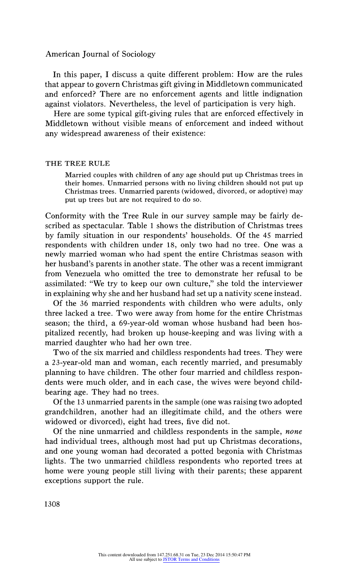**In this paper, I discuss a quite different problem: How are the rules that appear to govern Christmas gift giving in Middletown communicated and enforced? There are no enforcement agents and little indignation against violators. Nevertheless, the level of participation is very high.** 

**Here are some typical gift-giving rules that are enforced effectively in Middletown without visible means of enforcement and indeed without any widespread awareness of their existence:** 

### **THE TREE RULE**

**Married couples with children of any age should put up Christmas trees in their homes. Unmarried persons with no living children should not put up Christmas trees. Unmarried parents (widowed, divorced, or adoptive) may put up trees but are not required to do so.** 

**Conformity with the Tree Rule in our survey sample may be fairly described as spectacular. Table 1 shows the distribution of Christmas trees by family situation in our respondents' households. Of the 45 married respondents with children under 18, only two had no tree. One was a newly married woman who had spent the entire Christmas season with her husband's parents in another state. The other was a recent immigrant from Venezuela who omitted the tree to demonstrate her refusal to be assimilated: "We try to keep our own culture," she told the interviewer in explaining why she and her husband had set up a nativity scene instead.** 

**Of the 36 married respondents with children who were adults, only three lacked a tree. Two were away from home for the entire Christmas season; the third, a 69-year-old woman whose husband had been hospitalized recently, had broken up house-keeping and was living with a married daughter who had her own tree.** 

**Two of the six married and childless respondents had trees. They were a 23-year-old man and woman, each recently married, and presumably planning to have children. The other four married and childless respondents were much older, and in each case, the wives were beyond childbearing age. They had no trees.** 

**Of the 13 unmarried parents in the sample (one was raising two adopted grandchildren, another had an illegitimate child, and the others were widowed or divorced), eight had trees, five did not.** 

**Of the nine unmarried and childless respondents in the sample, none had individual trees, although most had put up Christmas decorations, and one young woman had decorated a potted begonia with Christmas lights. The two unmarried childless respondents who reported trees at home were young people still living with their parents; these apparent exceptions support the rule.**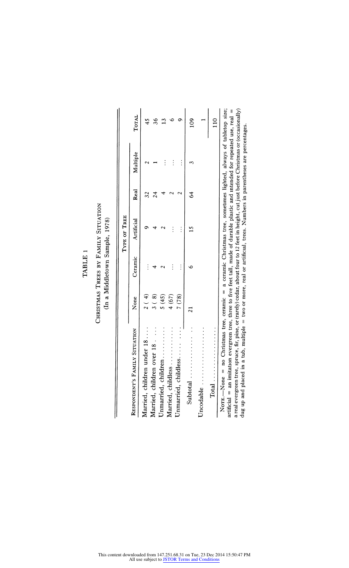| ۴<br>í |  |
|--------|--|
|        |  |
| c      |  |
| ۰      |  |

 $\epsilon$ (In a Middletown Sample, 1978)

|                                                                                                                                                                                                                                                                                                                                                                                                                                                                                                                            |       | (In a Middletown Sample, 1978) | UHRISTMAS IREES BY FAMILY SITUATION |             |          |                 |
|----------------------------------------------------------------------------------------------------------------------------------------------------------------------------------------------------------------------------------------------------------------------------------------------------------------------------------------------------------------------------------------------------------------------------------------------------------------------------------------------------------------------------|-------|--------------------------------|-------------------------------------|-------------|----------|-----------------|
|                                                                                                                                                                                                                                                                                                                                                                                                                                                                                                                            |       |                                | TYPE OF TREE                        |             |          |                 |
| RESPONDENT'S FAMILY SITUATION                                                                                                                                                                                                                                                                                                                                                                                                                                                                                              | None  | Ceramic                        | Artificial                          | <b>Real</b> | Multiple | TOTAL           |
| Married, children under 18                                                                                                                                                                                                                                                                                                                                                                                                                                                                                                 | 2(4)  |                                |                                     | 32          |          | 45              |
| Married, children over 18.                                                                                                                                                                                                                                                                                                                                                                                                                                                                                                 | 3(8)  |                                |                                     | 24          |          | 36              |
| Unmarried, children.                                                                                                                                                                                                                                                                                                                                                                                                                                                                                                       | 5(45) |                                |                                     |             |          | $\overline{13}$ |
| Married, childless                                                                                                                                                                                                                                                                                                                                                                                                                                                                                                         | 4(67) |                                |                                     |             | $\vdots$ |                 |
| Unmarried, childless                                                                                                                                                                                                                                                                                                                                                                                                                                                                                                       | 7(78) |                                |                                     |             | $\vdots$ |                 |
| Subtotal                                                                                                                                                                                                                                                                                                                                                                                                                                                                                                                   | 21    |                                |                                     | \$4         |          | $^{109}$        |
| Uncodable                                                                                                                                                                                                                                                                                                                                                                                                                                                                                                                  |       |                                |                                     |             |          |                 |
| Total $\ldots$ $\ldots$ $\ldots$                                                                                                                                                                                                                                                                                                                                                                                                                                                                                           |       |                                |                                     |             |          | $\frac{1}{1}$   |
| a real evergreen tree, spruce, fir, pine, or (rarely) cedar, about four to 12 feet in height, cut just before Christmas or (occasionally)<br>NOTE--None = no Christmas tree, ceramic = a ceramic Christmas tree, sometimes lighted, always of tabletop size;<br>artificial = an imitation evergreen tree, three to five feet tall, made of durable plastic and intended for repeated use, real =<br>dug up and placed in a tub, multiple = two or more, real or artificial, trees. Numbers in parentheses are percentages. |       |                                |                                     |             |          |                 |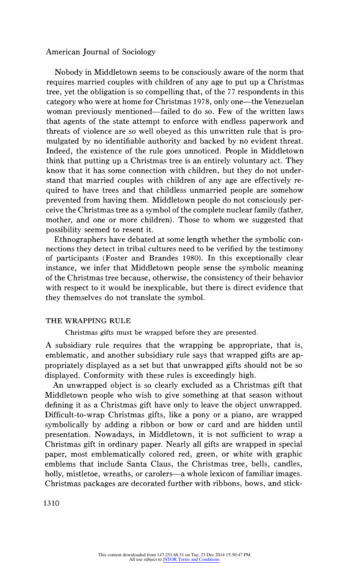**Nobody in Middletown seems to be consciously aware of the norm that requires married couples with children of any age to put up a Christmas tree, yet the obligation is so compelling that, of the 77 respondents in this category who were at home for Christmas 1978, only one-the Venezuelan woman previously mentioned-failed to do so. Few of the written laws that agents of the state attempt to enforce with endless paperwork and threats of violence are so well obeyed as this unwritten rule that is promulgated by no identifiable authority and backed by no evident threat. Indeed, the existence of the rule goes unnoticed. People in Middletown think that putting up a Christmas tree is an entirely voluntary act. They know that it has some connection with children, but they do not understand that married couples with children of any age are effectively required to have trees and that childless unmarried people are somehow prevented from having them. Middletown people do not consciously perceive the Christmas tree as a symbol of the complete nuclear family (father, mother, and one or more children). Those to whom we suggested that possibility seemed to resent it.** 

**Ethnographers have debated at some length whether the symbolic connections they detect in tribal cultures need to be verified by the testimony of participants (Foster and Brandes 1980). In this exceptionally clear instance, we infer that Middletown people sense the symbolic meaning of the Christmas tree because, otherwise, the consistency of their behavior with respect to it would be inexplicable, but there is direct evidence that they themselves do not translate the symbol.** 

### **THE WRAPPING RULE**

**Christmas gifts must be wrapped before they are presented.** 

**A subsidiary rule requires that the wrapping be appropriate, that is, emblematic, and another subsidiary rule says that wrapped gifts are appropriately displayed as a set but that unwrapped gifts should not be so displayed. Conformity with these rules is exceedingly high.** 

**An unwrapped object is so clearly excluded as a Christmas gift that Middletown people who wish to give something at that season without defining it as a Christmas gift have only to leave the object unwrapped. Difficult-to-wrap Christmas gifts, like a pony or a piano, are wrapped symbolically by adding a ribbon or bow or card and are hidden until presentation. Nowadays, in Middletown, it is not sufficient to wrap a Christmas gift in ordinary paper. Nearly all gifts are wrapped in special paper, most emblematically colored red, green, or white with graphic emblems that include Santa Claus, the Christmas tree, bells, candles, holly, mistletoe, wreaths, or carolers-a whole lexicon of familiar images. Christmas packages are decorated further with ribbons, bows, and stick-**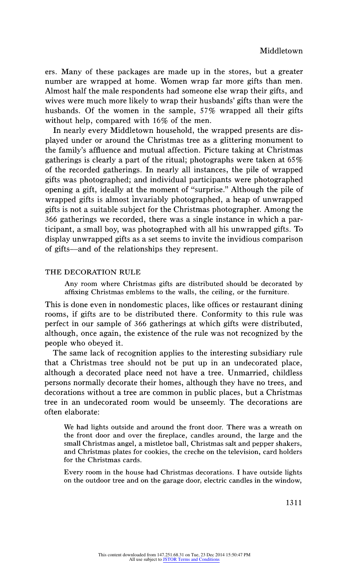**ers. Many of these packages are made up in the stores, but a greater number are wrapped at home. Women wrap far more gifts than men. Almost half the male respondents had someone else wrap their gifts, and wives were much more likely to wrap their husbands' gifts than were the husbands. Of the women in the sample, 57% wrapped all their gifts without help, compared with 16% of the men.** 

**In nearly every Middletown household, the wrapped presents are displayed under or around the Christmas tree as a glittering monument to the family's affluence and mutual affection. Picture taking at Christmas gatherings is clearly a part of the ritual; photographs were taken at 65% of the recorded gatherings. In nearly all instances, the pile of wrapped gifts was photographed; and individual participants were photographed opening a gift, ideally at the moment of "surprise." Although the pile of wrapped gifts is almost invariably photographed, a heap of unwrapped gifts is not a suitable subject for the Christmas photographer. Among the 366 gatherings we recorded, there was a single instance in which a participant, a small boy, was photographed with all his unwrapped gifts. To display unwrapped gifts as a set seems to invite the invidious comparison of gifts-and of the relationships they represent.** 

### **THE DECORATION RULE**

**Any room where Christmas gifts are distributed should be decorated by affixing Christmas emblems to the walls, the ceiling, or the furniture.** 

**This is done even in nondomestic places, like offices or restaurant dining rooms, if gifts are to be distributed there. Conformity to this rule was perfect in our sample of 366 gatherings at which gifts were distributed, although, once again, the existence of the rule was not recognized by the people who obeyed it.** 

**The same lack of recognition applies to the interesting subsidiary rule that a Christmas tree should not be put up in an undecorated place, although a decorated place need not have a tree. Unmarried, childless persons normally decorate their homes, although they have no trees, and decorations without a tree are common in public places, but a Christmas tree in an undecorated room would be unseemly. The decorations are often elaborate:** 

**We had lights outside and around the front door. There was a wreath on the front door and over the fireplace, candles around, the large and the small Christmas angel, a mistletoe ball, Christmas salt and pepper shakers, and Christmas plates for cookies, the creche on the television, card holders for the Christmas cards.** 

**Every room in the house had Christmas decorations. I have outside lights on the outdoor tree and on the garage door, electric candles in the window,**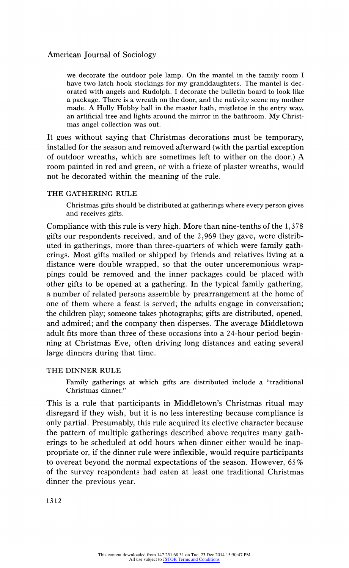**we decorate the outdoor pole lamp. On the mantel in the family room I have two latch hook stockings for my granddaughters. The mantel is decorated with angels and Rudolph. I decorate the bulletin board to look like a package. There is a wreath on the door, and the nativity scene my mother made. A Holly Hobby ball in the master bath, mistletoe in the entry way, an artificial tree and lights around the mirror in the bathroom. My Christmas angel collection was out.** 

**It goes without saying that Christmas decorations must be temporary, installed for the season and removed afterward (with the partial exception of outdoor wreaths, which are sometimes left to wither on the door.) A room painted in red and green, or with a frieze of plaster wreaths, would not be decorated within the meaning of the rule.** 

## **THE GATHERING RULE**

**Christmas gifts should be distributed at gatherings where every person gives and receives gifts.** 

**Compliance with this rule is very high. More than nine-tenths of the 1,378 gifts our respondents received, and of the 2,969 they gave, were distributed in gatherings, more than three-quarters of which were family gatherings. Most gifts mailed or shipped by friends and relatives living at a distance were double wrapped, so that the outer unceremonious wrappings could be removed and the inner packages could be placed with other gifts to be opened at a gathering. In the typical family gathering, a number of related persons assemble by prearrangement at the home of one of them where a feast is served; the adults engage in conversation; the children play; someone takes photographs; gifts are distributed, opened, and admired; and the company then disperses. The average Middletown adult fits more than three of these occasions into a 24-hour period beginning at Christmas Eve, often driving long distances and eating several large dinners during that time.** 

### **THE DINNER RULE**

**Family gatherings at which gifts are distributed include a "traditional Christmas dinner."** 

**This is a rule that participants in Middletown's Christmas ritual may disregard if they wish, but it is no less interesting because compliance is only partial. Presumably, this rule acquired its elective character because the pattern of multiple gatherings described above requires many gatherings to be scheduled at odd hours when dinner either would be inappropriate or, if the dinner rule were inflexible, would require participants to overeat beyond the normal expectations of the season. However, 65% of the survey respondents had eaten at least one traditional Christmas dinner the previous year.**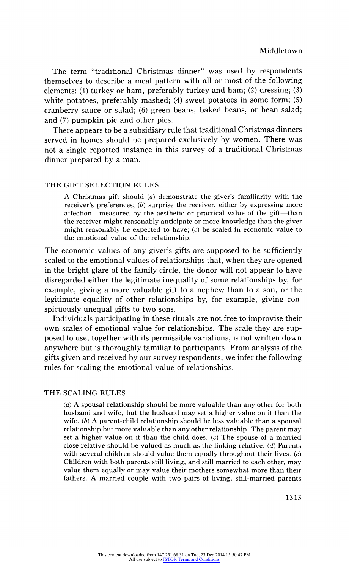**The term "traditional Christmas dinner" was used by respondents themselves to describe a meal pattern with all or most of the following elements: (1) turkey or ham, preferably turkey and ham; (2) dressing; (3) white potatoes, preferably mashed; (4) sweet potatoes in some form; (5) cranberry sauce or salad; (6) green beans, baked beans, or bean salad; and (7) pumpkin pie and other pies.** 

**There appears to be a subsidiary rule that traditional Christmas dinners served in homes should be prepared exclusively by women. There was not a single reported instance in this survey of a traditional Christmas dinner prepared by a man.** 

### **THE GIFT SELECTION RULES**

**A Christmas gift should (a) demonstrate the giver's familiarity with the receiver's preferences; (b) surprise the receiver, either by expressing more**  affection-measured by the aesthetic or practical value of the gift-than **the receiver might reasonably anticipate or more knowledge than the giver might reasonably be expected to have; (c) be scaled in economic value to the emotional value of the relationship.** 

**The economic values of any giver's gifts are supposed to be sufficiently scaled to the emotional values of relationships that, when they are opened in the bright glare of the family circle, the donor will not appear to have disregarded either the legitimate inequality of some relationships by, for example, giving a more valuable gift to a nephew than to a son, or the legitimate equality of other relationships by, for example, giving conspicuously unequal gifts to two sons.** 

**Individuals participating in these rituals are not free to improvise their own scales of emotional value for relationships. The scale they are supposed to use, together with its permissible variations, is not written down anywhere but is thoroughly familiar to participants. From analysis of the gifts given and received by our survey respondents, we infer the following rules for scaling the emotional value of relationships.** 

#### **THE SCALING RULES**

**(a) A spousal relationship should be more valuable than any other for both husband and wife, but the husband may set a higher value on it than the wife. (b) A parent-child relationship should be less valuable than a spousal relationship but more valuable than any other relationship. The parent may set a higher value on it than the child does. (c) The spouse of a married close relative should be valued as much as the linking relative. (d) Parents with several children should value them equally throughout their lives. (e) Children with both parents still living, and still married to each other, may value them equally or may value their mothers somewhat more than their fathers. A married couple with two pairs of living, still-married parents**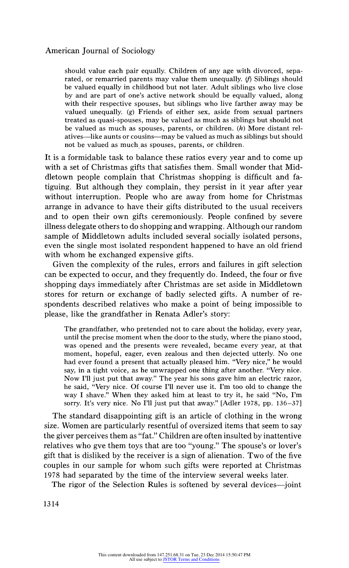**should value each pair equally. Children of any age with divorced, separated, or remarried parents may value them unequally. (f) Siblings should be valued equally in childhood but not later. Adult siblings who live close by and are part of one's active network should be equally valued, along with their respective spouses, but siblings who live farther away may be valued unequally. (g) Friends of either sex, aside from sexual partners treated as quasi-spouses, may be valued as much as siblings but should not be valued as much as spouses, parents, or children. (h) More distant relatives-like aunts or cousins-may be valued as much as siblings but should not be valued as much as spouses, parents, or children.** 

**It is a formidable task to balance these ratios every year and to come up with a set of Christmas gifts that satisfies them. Small wonder that Middletown people complain that Christmas shopping is difficult and fatiguing. But although they complain, they persist in it year after year without interruption. People who are away from home for Christmas arrange in advance to have their gifts distributed to the usual receivers and to open their own gifts ceremoniously. People confined by severe illness delegate others to do shopping and wrapping. Although our random sample of Middletown adults included several socially isolated persons, even the single most isolated respondent happened to have an old friend with whom he exchanged expensive gifts.** 

**Given the complexity of the rules, errors and failures in gift selection can be expected to occur, and they frequently do. Indeed, the four or five shopping days immediately after Christmas are set aside in Middletown stores for return or exchange of badly selected gifts. A number of respondents described relatives who make a point of being impossible to please, like the grandfather in Renata Adler's story:** 

**The grandfather, who pretended not to care about the holiday, every year, until the precise moment when the door to the study, where the piano stood, was opened and the presents were revealed, became every year, at that moment, hopeful, eager, even zealous and then dejected utterly. No one had ever found a present that actually pleased him. "Very nice," he would say, in a tight voice, as he unwrapped one thing after another. "Very nice. Now I'll just put that away." The year his sons gave him an electric razor, he said, "Very nice. Of course I'll never use it. I'm too old to change the way I shave." When they asked him at least to try it, he said "No, I'm sorry. It's very nice. No I'll just put that away." [Adler 1978, pp. 136-37]** 

**The standard disappointing gift is an article of clothing in the wrong size. Women are particularly resentful of oversized items that seem to say the giver perceives them as "fat." Children are often insulted by inattentive relatives who gve them toys that are too "young." The spouse's or lover's gift that is disliked by the receiver is a sign of alienation. Two of the five couples in our sample for whom such gifts were reported at Christmas 1978 had separated by the time of the interview several weeks later.** 

**The rigor of the Selection Rules is softened by several devices-joint**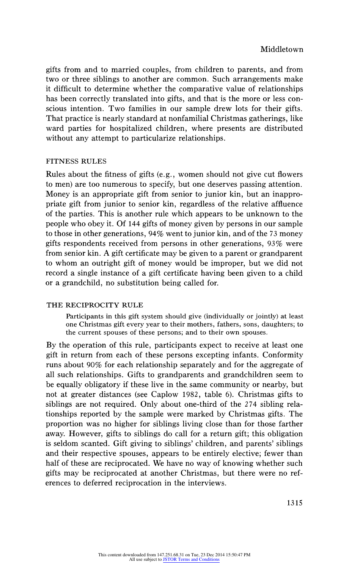**gifts from and to married couples, from children to parents, and from two or three siblings to another are common. Such arrangements make it difficult to determine whether the comparative value of relationships has been correctly translated into gifts, and that is the more or less conscious intention. Two families in our sample drew lots for their gifts. That practice is nearly standard at nonfamilial Christmas gatherings, like ward parties for hospitalized children, where presents are distributed without any attempt to particularize relationships.** 

## **FITNESS RULES**

**Rules about the fitness of gifts (e.g., women should not give cut flowers to men) are too numerous to specify, but one deserves passing attention. Money is an appropriate gift from senior to junior kin, but an inappropriate gift from junior to senior kin, regardless of the relative affluence of the parties. This is another rule which appears to be unknown to the people who obey it. Of 144 gifts of money given by persons in our sample to those in other generations, 94% went to junior kin, and of the 73 money gifts respondents received from persons in other generations, 93% were from senior kin. A gift certificate may be given to a parent or grandparent to whom an outright gift of money would be improper, but we did not record a single instance of a gift certificate having been given to a child or a grandchild, no substitution being called for.** 

# **THE RECIPROCITY RULE**

**Participants in this gift system should give (individually or jointly) at least one Christmas gift every year to their mothers, fathers, sons, daughters; to the current spouses of these persons; and to their own spouses.** 

**By the operation of this rule, participants expect to receive at least one gift in return from each of these persons excepting infants. Conformity runs about 90% for each relationship separately and for the aggregate of all such relationships. Gifts to grandparents and grandchildren seem to be equally obligatory if these live in the. same community or nearby, but not at greater distances (see Caplow 1982, table 6). Christmas gifts to siblings are not required. Only about one-third of the 274 sibling relationships reported by the sample were marked by Christmas gifts. The proportion was no higher for siblings living close than for those farther away. However, gifts to siblings do call for a return gift; this obligation is seldom scanted. Gift giving to siblings' children, and parents' siblings and their respective spouses, appears to be entirely elective; fewer than half of these are reciprocated. We have no way of knowing whether such gifts may be reciprocated at another Christmas, but there were no references to deferred reciprocation in the interviews.**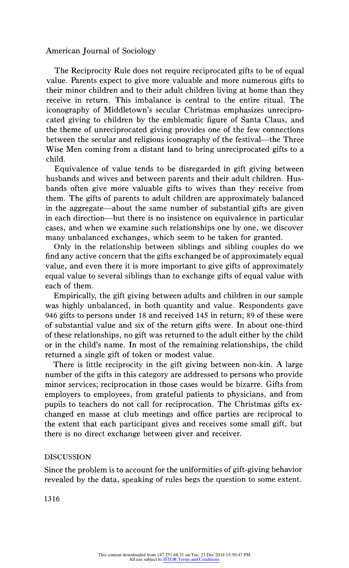**The Reciprocity Rule does not require reciprocated gifts to be of equal value. Parents expect to give more valuable and more numerous gifts to their minor children and to their adult children living at home than they receive in return. This imbalance is central to the entire ritual. The iconography of Middletown's secular Christmas emphasizes unreciprocated giving to children by the emblematic figure of Santa Claus, and the theme of unreciprocated giving provides one of the few connections between the secular and religious iconography of the festival—the Three Wise Men coming from a distant land to bring unreciprocated gifts to a child.** 

**Equivalence of value tends to be disregarded in gift giving between husbands and wives and between parents and their adult children. Husbands often give more valuable gifts to wives than they receive from them. The gifts of parents to adult children are approximately balanced in the aggregate-about the same number of substantial gifts are given in each direction-but there is no insistence on equivalence in particular cases, and when we examine such relationships one by one, we discover many unbalanced exchanges, which seem to be taken for granted.** 

**Only in the relationship between siblings and sibling couples do we find any active concern that the gifts exchanged be of approximately equal value, and even there it is more important to give gifts of approximately equal value to several siblings than to exchange gifts of equal value with each of them.** 

**Empirically, the gift giving between adults and children in our sample was highly unbalanced, in both quantity and value. Respondents gave 946 gifts to persons under 18 and received 145 in return; 89 of these were of substantial value and six of the return gifts were. In about one-third of these relationships, no gift was returned to the adult either by the child or in the child's name. In most of the remaining relationships, the child returned a single gift of token or modest value.** 

**There is little reciprocity in the gift giving between non-kin. A large number of the gifts in this category are addressed to persons who provide minor services; reciprocation in those cases would be bizarre. Gifts from employers to employees, from grateful patients to physicians, and from pupils to teachers do not call for reciprocation. The Christmas gifts exchanged en masse at club meetings and office parties are reciprocal to the extent that each participant gives and receives some small gift, but there is no direct exchange between giver and receiver.** 

## **DISCUSSION**

**Since the problem is to account for the uniformities of gift-giving behavior revealed by the data, speaking of rules begs the question to some extent.**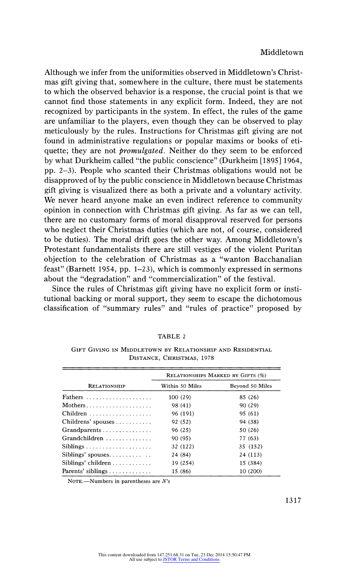**Although we infer from the uniformities observed in Middletown's Christmas gift giving that, somewhere in the culture, there must be statements to which the observed behavior is a response, the crucial point is that we cannot find those statements in any explicit form. Indeed, they are not recognized by participants in the system. In effect, the rules of the game are unfamiliar to the players, even though they can be observed to play meticulously by the rules. Instructions for Christmas gift giving are not found in administrative regulations or popular maxims or books of etiquette; they are not promulgated. Neither do they seem to be enforced by what Durkheim called "the public conscience" (Durkheim [1895] 1964, pp. 2-3). People who scanted their Christmas obligations would not be disapproved of by the public conscience in Middletown because Christmas gift giving is visualized there as both a private and a voluntary activity. We never heard anyone make an even indirect reference to community opinion in connection with Christmas gift giving. As far as we can tell, there are no customary forms of moral disapproval reserved for persons who neglect their Christmas duties (which are not, of course, considered to be duties). The moral drift goes the other way. Among Middletown's Protestant fundamentalists there are still vestiges of the violent Puritan objection to the celebration of Christmas as a "wanton Bacchanalian feast" (Barnett 1954, pp. 1-23), which is commonly expressed in sermons about the "degradation" and "commercialization" of the festival.** 

**Since the rules of Christmas gift giving have no explicit form or institutional backing or moral support, they seem to escape the dichotomous classification of "summary rules" and "rules of practice" proposed by** 

|                                                            | RELATIONSHIPS MARKED BY GIFTS (%) |                 |
|------------------------------------------------------------|-----------------------------------|-----------------|
| <b>RELATIONSHIP</b>                                        | Within 50 Miles                   | Beyond 50 Miles |
|                                                            | 100(29)                           | 85 (26)         |
| $\text{Mothers}\ldots\ldots\ldots\ldots\ldots\ldots\ldots$ | 98 (41)                           | 90 (29)         |
|                                                            | 96 (191)                          | 95 (61)         |
| $Childrens' spousse. \ldots \ldots \ldots$                 | 92 (52)                           | 94 (38)         |
| Grandparents                                               | 96 (25)                           | 50(26)          |
| Grandchildren                                              | 90 (95)                           | 77 (63)         |
|                                                            | 32 (122)                          | 35 (152)        |
|                                                            | 24 (84)                           | 24 (113)        |
| $Sibling's$ children $\ldots \ldots \ldots$                | 19 (254)                          | 15 (384)        |
| Parents' siblings                                          | 15 (86)                           | 10 (200)        |

#### **TABLE 2**

**GIFT GIVING IN MIDDLETOWN BY RELATIONSHIP AND RESIDENTIAL DISTANCE, CHRISTMAS, 1978** 

**NOTE.-Numbers in parentheses are N's**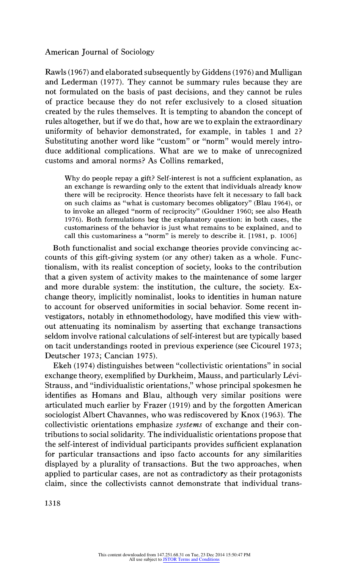**Rawls (1967) and elaborated subsequently by Giddens (1976) and Mulligan and Lederman (1977). They cannot be summary rules because they are not formulated on the basis of past decisions, and they cannot be rules of practice because they do not refer exclusively to a closed situation created by the rules themselves. It is tempting to abandon the concept of rules altogether, but if we do that, how are we to explain the extraordinary uniformity of behavior demonstrated, for example, in tables 1 and 2? Substituting another word like "custom" or "norm" would merely introduce additional complications. What are we to make of unrecognized customs and amoral norms? As Collins remarked,** 

**Why do people repay a gift? Self-interest is not a sufficient explanation, as an exchange is rewarding only to the extent that individuals already know there will be reciprocity. Hence theorists have felt it necessary to fall back on such claims as "what is customary becomes obligatory" (Blau 1964), or to invoke an alleged "norm of reciprocity" (Gouldner 1960; see also Heath 1976). Both formulations beg the explanatory question: in both cases, the customariness of the behavior is just what remains to be explained, and to call this customariness a "norm" is merely to describe it. [1981, p. 1006]** 

**Both functionalist and social exchange theories provide convincing accounts of this gift-giving system (or any other) taken as a whole. Functionalism, with its realist conception of society, looks to the contribution that a given system of activity makes to the maintenance of some larger and more durable system: the institution, the culture, the society. Exchange theory, implicitly nominalist, looks to identities in human nature to account for observed uniformities in social behavior. Some recent investigators, notably in ethnomethodology, have modified this view without attenuating its nominalism by asserting that exchange transactions seldom involve rational calculations of self-interest but are typically based on tacit understandings rooted in previous experience (see Cicourel 1973; Deutscher 1973; Cancian 1975).** 

**Ekeh (1974) distinguishes between "collectivistic orientations" in social exchange theory, exemplified by Durkheim, Mauss, and particularly Levi-Strauss, and "individualistic orientations," whose principal spokesmen he identifies as Homans and Blau, although very similar positions were articulated much earlier by Frazer (1919) and by the forgotten American sociologist Albert Chavannes, who was rediscovered by Knox (1963). The collectivistic orientations emphasize systems of exchange and their contributions to social solidarity. The individualistic orientations propose that the self-interest of individual participants provides sufficient explanation for particular transactions and ipso facto accounts for any similarities displayed by a plurality of transactions. But the two approaches, when applied to particular cases, are not as contradictory as their protagonists claim, since the collectivists cannot demonstrate that individual trans-**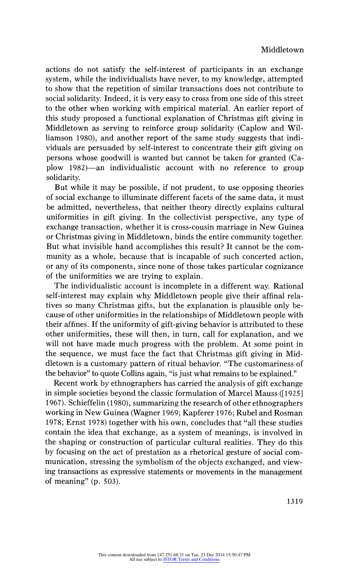**actions do not satisfy the self-interest of participants in an exchange system, while the individualists have never, to my knowledge, attempted to show that the repetition of similar transactions does not contribute to social solidarity. Indeed, it is very easy to cross from one side of this street to the other when working with empirical material. An earlier report of this study proposed a functional explanation of Christmas gift giving in Middletown as serving to reinforce group solidarity (Caplow and Williamson 1980), and another report of the same study suggests that individuals are persuaded by self-interest to concentrate their gift giving on persons whose goodwill is wanted but cannot be taken for granted (Caplow 1982)-an individualistic account with no reference to group solidarity.** 

**But while it may be possible, if not prudent, to use opposing theories of social exchange to illuminate different facets of the same data, it must be admitted, nevertheless, that neither theory directly explains cultural uniformities in gift giving. In the collectivist perspective, any type of exchange transaction, whether it is cross-cousin marriage in New Guinea or Christmas giving in Middletown, binds the entire community together. But what invisible hand accomplishes this result? It cannot be the community as a whole, because that is incapable of such concerted action, or any of its components, since none of those takes particular cognizance of the uniformities we are trying to explain.** 

**The individualistic account is incomplete in a different way. Rational self-interest may explain why Middletown people give their affinal relatives so many Christmas gifts, but the explanation is plausible only because of other uniformities in the relationships of Middletown people with their affines. If the uniformity of gift-giving behavior is attributed to these other uniformities, these will then, in turn, call for explanation, and we will not have made much progress with the problem. At some point in the sequence, we must face the fact that Christmas gift giving in Middletown is a customary pattern of ritual behavior. "The customariness of the behavior" to quote Collins again, "is just what remains to be explained."** 

**Recent work by ethnographers has carried the analysis of gift exchange in simple societies beyond the classic formulation of Marcel Mauss ([1925] 1967). Schieffelin (1980), summarizing the research of other ethnographers working in New Guinea (Wagner 1969; Kapferer 1976; Rubel and Rosman 1978; Ernst 1978) together with his own, concludes that "all these studies contain the idea that exchange, as a system of meanings, is involved in the shaping or construction of particular cultural realities. They do this by focusing on the act of prestation as a rhetorical gesture of social communication, stressing the symbolism of the objects exchanged, and viewing transactions as expressive statements or movements in the management of meaning" (p. 503).**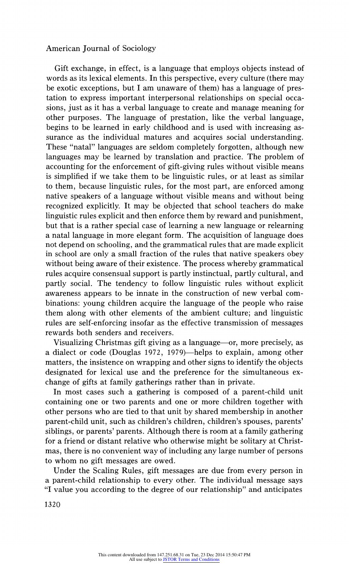**Gift exchange, in effect, is a language that employs objects instead of words as its lexical elements. In this perspective, every culture (there may be exotic exceptions, but I am unaware of them) has a language of prestation to express important interpersonal relationships on special occasions, just as it has a verbal language to create and manage meaning for other purposes. The language of prestation, like the verbal language, begins to be learned in early childhood and is used with increasing assurance as the individual matures and acquires social understanding. These "natal" languages are seldom completely forgotten, although new languages may be learned by translation and practice. The problem of accounting for the enforcement of gift-giving rules without visible means is simplified if we take them to be linguistic rules, or at least as similar to them, because linguistic rules, for the most part, are enforced among native speakers of a language without visible means and without being recognized explicitly. It may be objected that school teachers do make linguistic rules explicit and then enforce them by reward and punishment, but that is a rather special case of learning a new language or relearning a natal language in more elegant form. The acquisition of language does not depend on schooling, and the grammatical rules that are made explicit in school are only a small fraction of the rules that native speakers obey without being aware of their existence. The process whereby grammatical rules acquire consensual support is partly instinctual, partly cultural, and partly social. The tendency to follow linguistic rules without explicit awareness appears to be innate in the construction of new verbal combinations: young children acquire the language of the people who raise them along with other elements of the ambient culture; and linguistic rules are self-enforcing insofar as the effective transmission of messages rewards both senders and receivers.** 

**Visualizing Christmas gift giving as a language-or, more precisely, as a dialect or code (Douglas 1972, 1979)-helps to explain, among other matters, the insistence on wrapping and other signs to identify the objects designated for lexical use and the preference for the simultaneous exchange of gifts at family gatherings rather than in private.** 

**In most cases such a gathering is composed of a parent-child unit containing one or two parents and one or more children together with other persons who are tied to that unit by shared membership in another parent-child unit, such as children's children, children's spouses, parents' siblings, or parents' parents. Although there is room at a family gathering for a friend or distant relative who otherwise might be solitary at Christmas, there is no convenient way of including any large number of persons to whom no gift messages are owed.** 

**Under the Scaling Rules, gift messages are due from every person in a parent-child relationship to every other. The individual message says "I value you according to the degree of our relationship" and anticipates**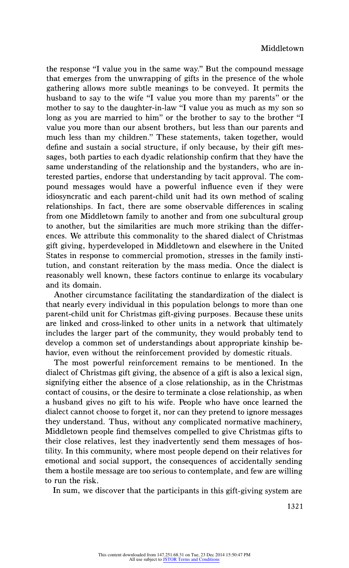**the response "I value you in the same way." But the compound message that emerges from the unwrapping of gifts in the presence of the whole gathering allows more subtle meanings to be conveyed. It permits the husband to say to the wife "I value you more than my parents" or the mother to say to the daughter-in-law "I value you as much as my son so long as you are married to him" or the brother to say to the brother "I value you more than our absent brothers, but less than our parents and much less than my children." These statements, taken together, would define and sustain a social structure, if only because, by their gift messages, both parties to each dyadic relationship confirm that they have the same understanding of the relationship and the bystanders, who are interested parties, endorse that understanding by tacit approval. The compound messages would have a powerful influence even if they were idiosyncratic and each parent-child unit had its own method of scaling relationships. In fact, there are some observable differences in scaling from one Middletown family to another and from one subcultural group to another, but the similarities are much more striking than the differences. We attribute this commonality to the shared dialect of Christmas gift giving, hyperdeveloped in Middletown and elsewhere in the United States in response to commercial promotion, stresses in the family institution, and constant reiteration by the mass media. Once the dialect is reasonably well known, these factors continue to enlarge its vocabulary and its domain.** 

**Another circumstance facilitating the standardization of the dialect is that nearly every individual in this population belongs to more than one parent-child unit for Christmas gift-giving purposes. Because these units are linked and cross-linked to other units in a network that ultimately includes the larger part of the community, they would probably tend to develop a common set of understandings about appropriate kinship behavior, even without the reinforcement provided by domestic rituals.** 

**The most powerful reinforcement remains to be mentioned. In the dialect of Christmas gift giving, the absence of a gift is also a lexical sign, signifying either the absence of a close relationship, as in the Christmas contact of cousins, or the desire to terminate a close relationship, as when a husband gives no gift to his wife. People who have once learned the dialect cannot choose to forget it, nor can they pretend to ignore messages they understand. Thus, without any complicated normative machinery, Middletown people find themselves compelled to give Christmas gifts to their close relatives, lest they inadvertently send them messages of hostility. In this community, where most people depend on their relatives for emotional and social support, the consequences of accidentally sending them a hostile message are too serious to contemplate, and few are willing to run the risk.** 

**In sum, we discover that the participants in this gift-giving system are**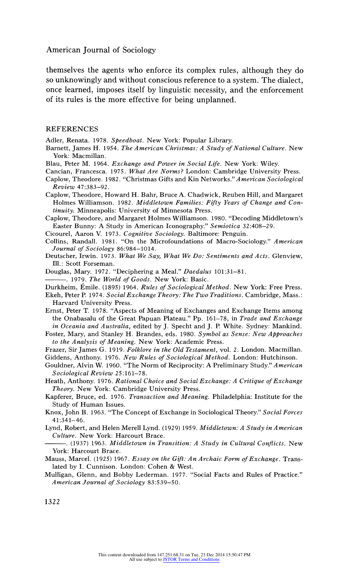**themselves the agents who enforce its complex rules, although they do so unknowingly and without conscious reference to a system. The dialect, once learned, imposes itself by linguistic necessity, and the enforcement of its rules is the more effective for being unplanned.** 

## **REFERENCES**

**Adler, Renata. 1978. Speedboat. New York: Popular Library.** 

- **Barnett, James H. 1954. The American Christmas: A Study of National Culture. New York: Macmillan.**
- **Blau, Peter M. 1964. Exchange and Power in Social Life. New York: Wiley.**
- **Cancian, Francesca. 1975. What Are Norms? London: Cambridge University Press.**
- **Caplow, Theodore. 1982. "Christmas Gifts and Kin Networks." American Sociological Review 47:383-92.**
- **Caplow, Theodore, Howard H. Bahr, Bruce A. Chadwick, Reuben Hill, and Margaret Holmes Williamson. 1982. Middletown Families: Fifty Years of Change and Continuity. Minneapolis: University of Minnesota Press.**
- **Caplow, Theodore, and Margaret Holmes Williamson. 1980. "Decoding Middletown's Easter Bunny: A Study in American Iconography." Semiotica 32:408-29.**
- **Cicourel, Aaron V. 1973. Cognitive Sociology. Baltimore: Penguin.**
- **Collins, Randall. 1981. "On the Microfoundations of Macro-Sociology." American Journal of Sociology 86:984-1014.**
- **Deutscher, Irwin. 1973. What We Say, What We Do: Sentiments and Acts. Glenview, Ill.: Scott Forseman.**
- **Douglas, Mary. 1972. "Deciphering a Meal." Daedalus 101:31-81.**
- **. 1979. The World of Goods. New York: Basic.**

**Durkheim, Emile. (1895) 1964. Rules of Sociological Method. New York: Free Press.** 

- **Ekeh, Peter P. 1974. Social Exchange Theory: The Two Traditions. Cambridge, Mass.: Harvard University Press.**
- **Ernst, Peter T. 1978. "Aspects of Meaning of Exchanges and Exchange Items among the Onabasalu of the Great Papuan Plateau." Pp. 161-78, in Trade and Exchange in Oceania and Australia, edited by J. Specht and J. P White. Sydney: Mankind.**
- **Foster, Mary, and Stanley H. Brandes, eds. 1980. Symbol as Sense: New Approaches to the Analysis of Meaning. New York: Academic Press.**
- **Frazer, Sir James G. 1919. Folklore in the Old Testament, vol. 2. London. Macmillan. Giddens, Anthony. 1976. New Rules of Sociological Method. London: Hutchinson.**
- **Gouldner, Alvin W. 1960. "The Norm of Reciprocity: A Preliminary Study." American Sociological Review 25:161-78.**
- **Heath, Anthony. 1976. Rational Choice and Social Exchange: A Critique of Exchange Theory. New York: Cambridge University Press.**
- **Kapferer, Bruce, ed. 1976. Transaction and Meaning. Philadelphia: Institute for the Study of Human Issues.**
- **Knox, John B. 1963. "The Concept of Exchange in Sociological Theory." Social Forces 41:341-46.**
- **Lynd, Robert, and Helen Merell Lynd. (1929) 1959. Middletown: A Study in American Culture. New York: Harcourt Brace.**
- **. (1937) 1963. Middletown in Transition: A Study in Cultural Conflicts. New York: Harcourt Brace.**
- **Mauss, Marcel. (1925) 1967. Essay on the Gift: An Archaic Form of Exchange. Translated by I. Cunnison. London: Cohen & West.**
- **Mulligan, Glenn, and Bobby Lederman. 1977. "Social Facts and Rules of Practice." American Journal of Sociology 83:539-50.**